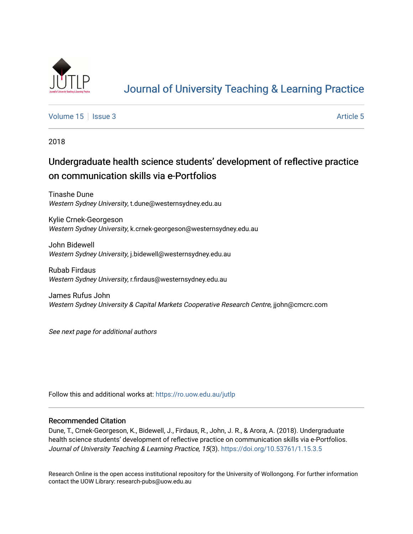

# [Journal of University Teaching & Learning Practice](https://ro.uow.edu.au/jutlp)

[Volume 15](https://ro.uow.edu.au/jutlp/vol15) | [Issue 3](https://ro.uow.edu.au/jutlp/vol15/iss3) Article 5

2018

# Undergraduate health science students' development of reflective practice on communication skills via e-Portfolios

Tinashe Dune Western Sydney University, t.dune@westernsydney.edu.au

Kylie Crnek-Georgeson Western Sydney University, k.crnek-georgeson@westernsydney.edu.au

John Bidewell Western Sydney University, j.bidewell@westernsydney.edu.au

Rubab Firdaus Western Sydney University, r.firdaus@westernsydney.edu.au

James Rufus John Western Sydney University & Capital Markets Cooperative Research Centre, jjohn@cmcrc.com

See next page for additional authors

Follow this and additional works at: [https://ro.uow.edu.au/jutlp](https://ro.uow.edu.au/jutlp?utm_source=ro.uow.edu.au%2Fjutlp%2Fvol15%2Fiss3%2F5&utm_medium=PDF&utm_campaign=PDFCoverPages) 

## Recommended Citation

Dune, T., Crnek-Georgeson, K., Bidewell, J., Firdaus, R., John, J. R., & Arora, A. (2018). Undergraduate health science students' development of reflective practice on communication skills via e-Portfolios. Journal of University Teaching & Learning Practice, 15(3). <https://doi.org/10.53761/1.15.3.5>

Research Online is the open access institutional repository for the University of Wollongong. For further information contact the UOW Library: research-pubs@uow.edu.au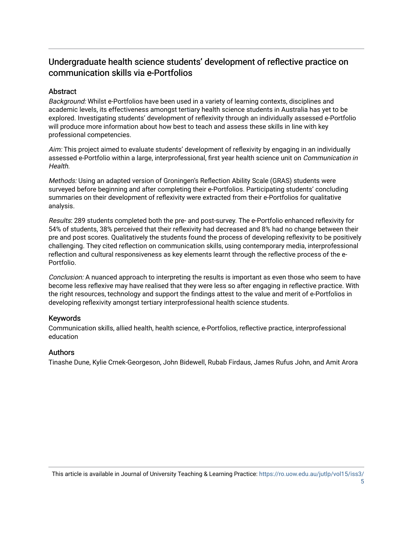# Undergraduate health science students' development of reflective practice on communication skills via e-Portfolios

# **Abstract**

Background: Whilst e-Portfolios have been used in a variety of learning contexts, disciplines and academic levels, its effectiveness amongst tertiary health science students in Australia has yet to be explored. Investigating students' development of reflexivity through an individually assessed e-Portfolio will produce more information about how best to teach and assess these skills in line with key professional competencies.

Aim: This project aimed to evaluate students' development of reflexivity by engaging in an individually assessed e-Portfolio within a large, interprofessional, first year health science unit on Communication in Health.

Methods: Using an adapted version of Groningen's Reflection Ability Scale (GRAS) students were surveyed before beginning and after completing their e-Portfolios. Participating students' concluding summaries on their development of reflexivity were extracted from their e-Portfolios for qualitative analysis.

Results: 289 students completed both the pre- and post-survey. The e-Portfolio enhanced reflexivity for 54% of students, 38% perceived that their reflexivity had decreased and 8% had no change between their pre and post scores. Qualitatively the students found the process of developing reflexivity to be positively challenging. They cited reflection on communication skills, using contemporary media, interprofessional reflection and cultural responsiveness as key elements learnt through the reflective process of the e-Portfolio.

Conclusion: A nuanced approach to interpreting the results is important as even those who seem to have become less reflexive may have realised that they were less so after engaging in reflective practice. With the right resources, technology and support the findings attest to the value and merit of e-Portfolios in developing reflexivity amongst tertiary interprofessional health science students.

# Keywords

Communication skills, allied health, health science, e-Portfolios, reflective practice, interprofessional education

## Authors

Tinashe Dune, Kylie Crnek-Georgeson, John Bidewell, Rubab Firdaus, James Rufus John, and Amit Arora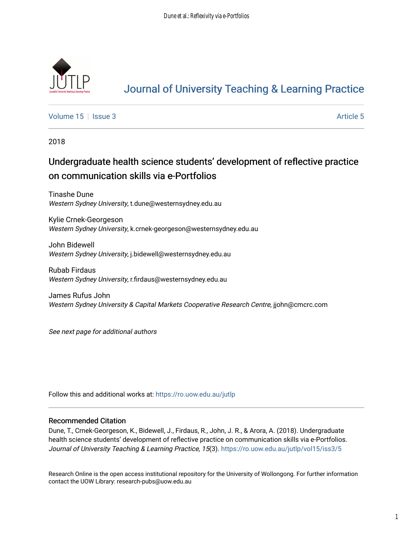

# [Journal of University Teaching & Learning Practice](https://ro.uow.edu.au/jutlp)

[Volume 15](https://ro.uow.edu.au/jutlp/vol15) | [Issue 3](https://ro.uow.edu.au/jutlp/vol15/iss3) Article 5

2018

# Undergraduate health science students' development of reflective practice on communication skills via e-Portfolios

Tinashe Dune Western Sydney University, t.dune@westernsydney.edu.au

Kylie Crnek-Georgeson Western Sydney University, k.crnek-georgeson@westernsydney.edu.au

John Bidewell Western Sydney University, j.bidewell@westernsydney.edu.au

Rubab Firdaus Western Sydney University, r.firdaus@westernsydney.edu.au

James Rufus John Western Sydney University & Capital Markets Cooperative Research Centre, jjohn@cmcrc.com

See next page for additional authors

Follow this and additional works at: [https://ro.uow.edu.au/jutlp](https://ro.uow.edu.au/jutlp?utm_source=ro.uow.edu.au%2Fjutlp%2Fvol15%2Fiss3%2F5&utm_medium=PDF&utm_campaign=PDFCoverPages) 

## Recommended Citation

Dune, T., Crnek-Georgeson, K., Bidewell, J., Firdaus, R., John, J. R., & Arora, A. (2018). Undergraduate health science students' development of reflective practice on communication skills via e-Portfolios. Journal of University Teaching & Learning Practice, 15(3). https://ro.uow.edu.au/jutlp/vol15/iss3/5

Research Online is the open access institutional repository for the University of Wollongong. For further information contact the UOW Library: research-pubs@uow.edu.au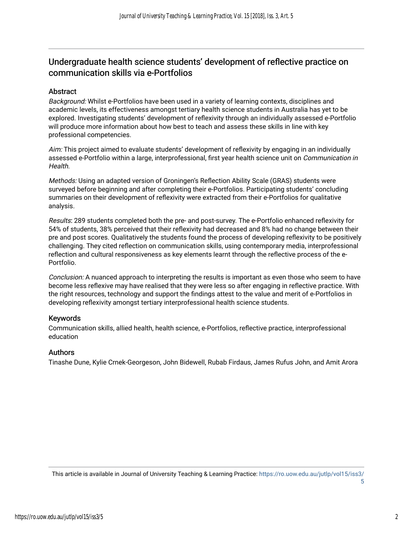# Undergraduate health science students' development of reflective practice on communication skills via e-Portfolios

## Abstract

Background: Whilst e-Portfolios have been used in a variety of learning contexts, disciplines and academic levels, its effectiveness amongst tertiary health science students in Australia has yet to be explored. Investigating students' development of reflexivity through an individually assessed e-Portfolio will produce more information about how best to teach and assess these skills in line with key professional competencies.

Aim: This project aimed to evaluate students' development of reflexivity by engaging in an individually assessed e-Portfolio within a large, interprofessional, first year health science unit on Communication in Health.

Methods: Using an adapted version of Groningen's Reflection Ability Scale (GRAS) students were surveyed before beginning and after completing their e-Portfolios. Participating students' concluding summaries on their development of reflexivity were extracted from their e-Portfolios for qualitative analysis.

Results: 289 students completed both the pre- and post-survey. The e-Portfolio enhanced reflexivity for 54% of students, 38% perceived that their reflexivity had decreased and 8% had no change between their pre and post scores. Qualitatively the students found the process of developing reflexivity to be positively challenging. They cited reflection on communication skills, using contemporary media, interprofessional reflection and cultural responsiveness as key elements learnt through the reflective process of the e-Portfolio.

Conclusion: A nuanced approach to interpreting the results is important as even those who seem to have become less reflexive may have realised that they were less so after engaging in reflective practice. With the right resources, technology and support the findings attest to the value and merit of e-Portfolios in developing reflexivity amongst tertiary interprofessional health science students.

## Keywords

Communication skills, allied health, health science, e-Portfolios, reflective practice, interprofessional education

## Authors

Tinashe Dune, Kylie Crnek-Georgeson, John Bidewell, Rubab Firdaus, James Rufus John, and Amit Arora

[5](https://ro.uow.edu.au/jutlp/vol15/iss3/5)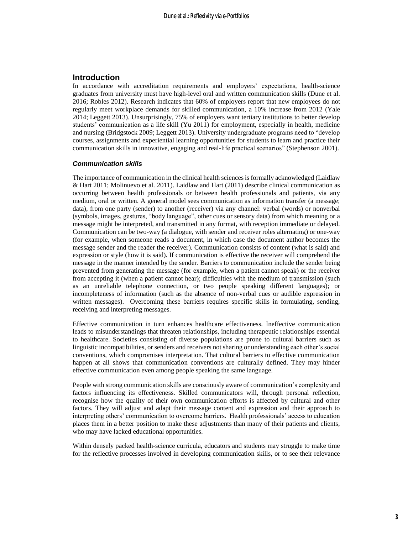## **Introduction**

In accordance with accreditation requirements and employers' expectations, health-science graduates from university must have high-level oral and written communication skills (Dune et al. 2016; Robles 2012). Research indicates that 60% of employers report that new employees do not regularly meet workplace demands for skilled communication, a 10% increase from 2012 (Yale 2014; Leggett 2013). Unsurprisingly, 75% of employers want tertiary institutions to better develop students' communication as a life skill (Yu 2011) for employment, especially in health, medicine and nursing (Bridgstock 2009; Leggett 2013). University undergraduate programs need to "develop courses, assignments and experiential learning opportunities for students to learn and practice their communication skills in innovative, engaging and real-life practical scenarios" (Stephenson 2001).

#### *Communication skills*

The importance of communication in the clinical health sciences is formally acknowledged (Laidlaw & Hart 2011; Molinuevo et al. 2011). Laidlaw and Hart (2011) describe clinical communication as occurring between health professionals or between health professionals and patients, via any medium, oral or written. A general model sees communication as information transfer (a message; data), from one party (sender) to another (receiver) via any channel: verbal (words) or nonverbal (symbols, images, gestures, "body language", other cues or sensory data) from which meaning or a message might be interpreted, and transmitted in any format, with reception immediate or delayed. Communication can be two-way (a dialogue, with sender and receiver roles alternating) or one-way (for example, when someone reads a document, in which case the document author becomes the message sender and the reader the receiver). Communication consists of content (what is said) and expression or style (how it is said). If communication is effective the receiver will comprehend the message in the manner intended by the sender. Barriers to communication include the sender being prevented from generating the message (for example, when a patient cannot speak) or the receiver from accepting it (when a patient cannot hear); difficulties with the medium of transmission (such as an unreliable telephone connection, or two people speaking different languages); or incompleteness of information (such as the absence of non-verbal cues or audible expression in written messages). Overcoming these barriers requires specific skills in formulating, sending, receiving and interpreting messages.

Effective communication in turn enhances healthcare effectiveness. Ineffective communication leads to misunderstandings that threaten relationships, including therapeutic relationships essential to healthcare. Societies consisting of diverse populations are prone to cultural barriers such as linguistic incompatibilities, or senders and receivers not sharing or understanding each other's social conventions, which compromises interpretation. That cultural barriers to effective communication happen at all shows that communication conventions are culturally defined. They may hinder effective communication even among people speaking the same language.

People with strong communication skills are consciously aware of communication's complexity and factors influencing its effectiveness. Skilled communicators will, through personal reflection, recognise how the quality of their own communication efforts is affected by cultural and other factors. They will adjust and adapt their message content and expression and their approach to interpreting others' communication to overcome barriers. Health professionals' access to education places them in a better position to make these adjustments than many of their patients and clients, who may have lacked educational opportunities.

Within densely packed health-science curricula, educators and students may struggle to make time for the reflective processes involved in developing communication skills, or to see their relevance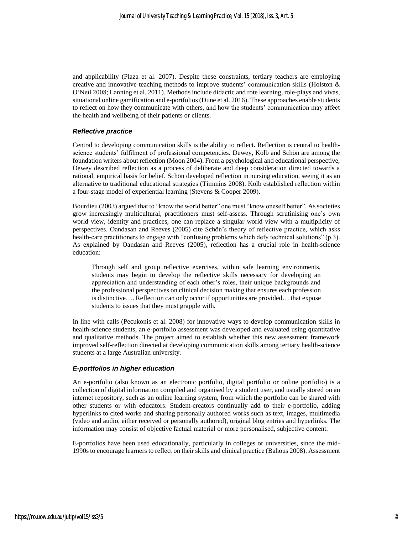and applicability (Plaza et al. 2007). Despite these constraints, tertiary teachers are employing creative and innovative teaching methods to improve students' communication skills (Holston & O'Neil 2008; Lanning et al. 2011). Methods include didactic and rote learning, role-plays and vivas, situational online gamification and e-portfolios (Dune et al. 2016). These approaches enable students to reflect on how they communicate with others, and how the students' communication may affect the health and wellbeing of their patients or clients.

#### *Reflective practice*

Central to developing communication skills is the ability to reflect. Reflection is central to healthscience students' fulfilment of professional competencies. Dewey, Kolb and Schön are among the foundation writers about reflection (Moon 2004). From a psychological and educational perspective, Dewey described reflection as a process of deliberate and deep consideration directed towards a rational, empirical basis for belief. Schön developed reflection in nursing education, seeing it as an alternative to traditional educational strategies (Timmins 2008). Kolb established reflection within a four-stage model of experiential learning (Stevens & Cooper 2009).

Bourdieu (2003) argued that to "know the world better" one must "know oneself better". As societies grow increasingly multicultural, practitioners must self-assess. Through scrutinising one's own world view, identity and practices, one can replace a singular world view with a multiplicity of perspectives. Oandasan and Reeves (2005) cite Schön's theory of reflective practice, which asks health-care practitioners to engage with "confusing problems which defy technical solutions" (p.3). As explained by Oandasan and Reeves (2005), reflection has a crucial role in health-science education:

Through self and group reflective exercises, within safe learning environments, students may begin to develop the reflective skills necessary for developing an appreciation and understanding of each other's roles, their unique backgrounds and the professional perspectives on clinical decision making that ensures each profession is distinctive…. Reflection can only occur if opportunities are provided… that expose students to issues that they must grapple with.

In line with calls (Pecukonis et al. 2008) for innovative ways to develop communication skills in health-science students, an e-portfolio assessment was developed and evaluated using quantitative and qualitative methods. The project aimed to establish whether this new assessment framework improved self-reflection directed at developing communication skills among tertiary health-science students at a large Australian university.

### *E-portfolios in higher education*

An e-portfolio (also known as an electronic portfolio, digital portfolio or online portfolio) is a collection of digital information compiled and organised by a student user, and usually stored on an internet repository, such as an online learning system, from which the portfolio can be shared with other students or with educators. Student-creators continually add to their e-portfolio, adding hyperlinks to cited works and sharing personally authored works such as text, images, multimedia (video and audio, either received or personally authored), original blog entries and hyperlinks. The information may consist of objective factual material or more personalised, subjective content.

E-portfolios have been used educationally, particularly in colleges or universities, since the mid-1990s to encourage learners to reflect on their skills and clinical practice (Bahous 2008). Assessment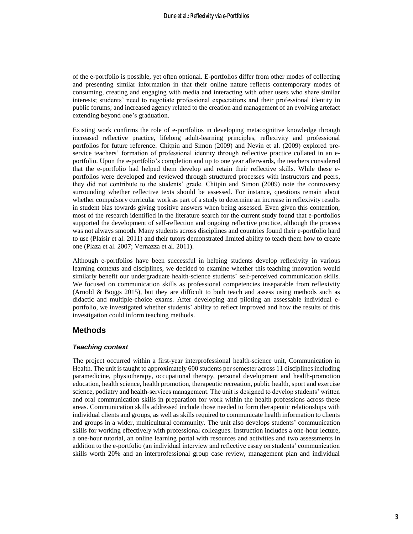of the e-portfolio is possible, yet often optional. E-portfolios differ from other modes of collecting and presenting similar information in that their online nature reflects contemporary modes of consuming, creating and engaging with media and interacting with other users who share similar interests; students' need to negotiate professional expectations and their professional identity in public forums; and increased agency related to the creation and management of an evolving artefact extending beyond one's graduation.

Existing work confirms the role of e-portfolios in developing metacognitive knowledge through increased reflective practice, lifelong adult-learning principles, reflexivity and professional portfolios for future reference. Chitpin and Simon (2009) and Nevin et al. (2009) explored preservice teachers' formation of professional identity through reflective practice collated in an eportfolio. Upon the e-portfolio's completion and up to one year afterwards, the teachers considered that the e-portfolio had helped them develop and retain their reflective skills. While these eportfolios were developed and reviewed through structured processes with instructors and peers, they did not contribute to the students' grade. Chitpin and Simon (2009) note the controversy surrounding whether reflective texts should be assessed. For instance, questions remain about whether compulsory curricular work as part of a study to determine an increase in reflexivity results in student bias towards giving positive answers when being assessed. Even given this contention, most of the research identified in the literature search for the current study found that e-portfolios supported the development of self-reflection and ongoing reflective practice, although the process was not always smooth. Many students across disciplines and countries found their e-portfolio hard to use (Plaisir et al. 2011) and their tutors demonstrated limited ability to teach them how to create one (Plaza et al. 2007; Vernazza et al. 2011).

Although e-portfolios have been successful in helping students develop reflexivity in various learning contexts and disciplines, we decided to examine whether this teaching innovation would similarly benefit our undergraduate health-science students' self-perceived communication skills. We focused on communication skills as professional competencies inseparable from reflexivity (Arnold & Boggs 2015), but they are difficult to both teach and assess using methods such as didactic and multiple-choice exams. After developing and piloting an assessable individual eportfolio, we investigated whether students' ability to reflect improved and how the results of this investigation could inform teaching methods.

## **Methods**

#### *Teaching context*

The project occurred within a first-year interprofessional health-science unit, Communication in Health. The unit is taught to approximately 600 students per semester across 11 disciplines including paramedicine, physiotherapy, occupational therapy, personal development and health-promotion education, health science, health promotion, therapeutic recreation, public health, sport and exercise science, podiatry and health-services management. The unit is designed to develop students' written and oral communication skills in preparation for work within the health professions across these areas. Communication skills addressed include those needed to form therapeutic relationships with individual clients and groups, as well as skills required to communicate health information to clients and groups in a wider, multicultural community. The unit also develops students' communication skills for working effectively with professional colleagues. Instruction includes a one-hour lecture, a one-hour tutorial, an online learning portal with resources and activities and two assessments in addition to the e-portfolio (an individual interview and reflective essay on students' communication skills worth 20% and an interprofessional group case review, management plan and individual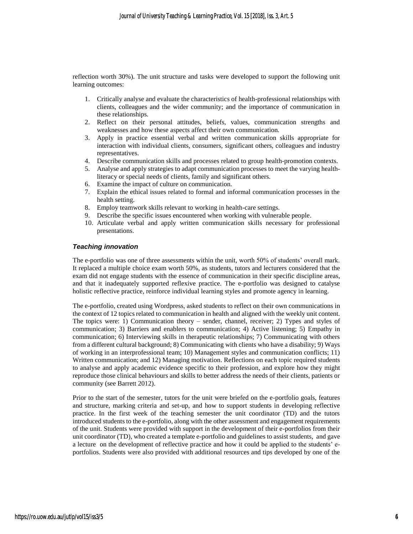reflection worth 30%). The unit structure and tasks were developed to support the following unit learning outcomes:

- 1. Critically analyse and evaluate the characteristics of health-professional relationships with clients, colleagues and the wider community; and the importance of communication in these relationships.
- 2. Reflect on their personal attitudes, beliefs, values, communication strengths and weaknesses and how these aspects affect their own communication.
- 3. Apply in practice essential verbal and written communication skills appropriate for interaction with individual clients, consumers, significant others, colleagues and industry representatives.
- 4. Describe communication skills and processes related to group health-promotion contexts.
- 5. Analyse and apply strategies to adapt communication processes to meet the varying healthliteracy or special needs of clients, family and significant others.
- 6. Examine the impact of culture on communication.
- 7. Explain the ethical issues related to formal and informal communication processes in the health setting.
- 8. Employ teamwork skills relevant to working in health-care settings.
- 9. Describe the specific issues encountered when working with vulnerable people.
- 10. Articulate verbal and apply written communication skills necessary for professional presentations.

### *Teaching innovation*

The e-portfolio was one of three assessments within the unit, worth 50% of students' overall mark. It replaced a multiple choice exam worth 50%, as students, tutors and lecturers considered that the exam did not engage students with the essence of communication in their specific discipline areas, and that it inadequately supported reflexive practice. The e-portfolio was designed to catalyse holistic reflective practice, reinforce individual learning styles and promote agency in learning.

The e-portfolio, created using Wordpress, asked students to reflect on their own communications in the context of 12 topics related to communication in health and aligned with the weekly unit content. The topics were: 1) Communication theory – sender, channel, receiver; 2) Types and styles of communication; 3) Barriers and enablers to communication; 4) Active listening; 5) Empathy in communication; 6) Interviewing skills in therapeutic relationships; 7) Communicating with others from a different cultural background; 8) Communicating with clients who have a disability; 9) Ways of working in an interprofessional team; 10) Management styles and communication conflicts; 11) Written communication; and 12) Managing motivation. Reflections on each topic required students to analyse and apply academic evidence specific to their profession, and explore how they might reproduce those clinical behaviours and skills to better address the needs of their clients, patients or community (see Barrett 2012).

Prior to the start of the semester, tutors for the unit were briefed on the e-portfolio goals, features and structure, marking criteria and set-up, and how to support students in developing reflective practice. In the first week of the teaching semester the unit coordinator (TD) and the tutors introduced students to the e-portfolio, along with the other assessment and engagement requirements of the unit. Students were provided with support in the development of their e-portfolios from their unit coordinator (TD), who created a template e-portfolio and guidelines to assist students, and gave a lecture on the development of reflective practice and how it could be applied to the students' eportfolios. Students were also provided with additional resources and tips developed by one of the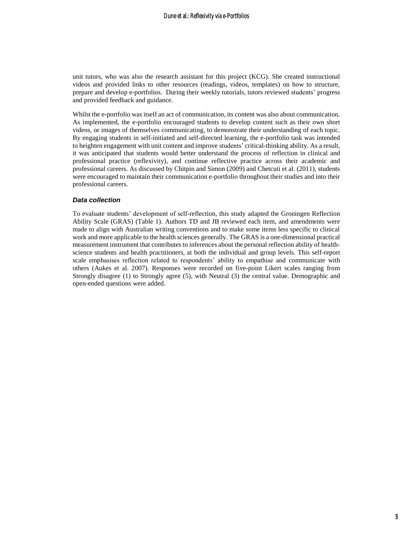unit tutors, who was also the research assistant for this project (KCG). She created instructional videos and provided links to other resources (readings, videos, templates) on how to structure, prepare and develop e-portfolios. During their weekly tutorials, tutors reviewed students' progress and provided feedback and guidance.

Whilst the e-portfolio was itself an act of communication, its content was also about communication. As implemented, the e-portfolio encouraged students to develop content such as their own short videos, or images of themselves communicating, to demonstrate their understanding of each topic. By engaging students in self-initiated and self-directed learning, the e-portfolio task was intended to heighten engagement with unit content and improve students' critical-thinking ability. As a result, it was anticipated that students would better understand the process of reflection in clinical and professional practice (reflexivity), and continue reflective practice across their academic and professional careers. As discussed by Chitpin and Simon (2009) and Chetcuti et al. (2011), students were encouraged to maintain their communication e-portfolio throughout their studies and into their professional careers.

#### *Data collection*

To evaluate students' development of self-reflection, this study adapted the Groningen Reflection Ability Scale (GRAS) (Table 1). Authors TD and JB reviewed each item, and amendments were made to align with Australian writing conventions and to make some items less specific to clinical work and more applicable to the health sciences generally. The GRAS is a one-dimensional practical measurement instrument that contributes to inferences about the personal reflection ability of healthscience students and health practitioners, at both the individual and group levels. This self-report scale emphasises reflection related to respondents' ability to empathise and communicate with others (Aukes et al. 2007). Responses were recorded on five-point Likert scales ranging from Strongly disagree (1) to Strongly agree (5), with Neutral (3) the central value. Demographic and open-ended questions were added.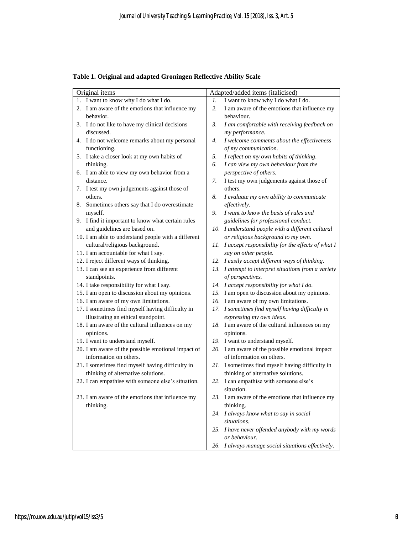| Original items                                      | Adapted/added items (italicised)                      |
|-----------------------------------------------------|-------------------------------------------------------|
| 1. I want to know why I do what I do.               | I want to know why I do what I do.<br>1.              |
| 2. I am aware of the emotions that influence my     | I am aware of the emotions that influence my<br>2.    |
| behavior.                                           | behaviour.                                            |
| 3. I do not like to have my clinical decisions      | 3.<br>I am comfortable with receiving feedback on     |
| discussed.                                          | my performance.                                       |
| 4. I do not welcome remarks about my personal       | I welcome comments about the effectiveness<br>4.      |
| functioning.                                        | of my communication.                                  |
| 5. I take a closer look at my own habits of         | 5.<br>I reflect on my own habits of thinking.         |
| thinking.                                           | I can view my own behaviour from the<br>6.            |
| 6. I am able to view my own behavior from a         | perspective of others.                                |
| distance.                                           | I test my own judgements against those of<br>7.       |
| 7. I test my own judgements against those of        | others.                                               |
| others.                                             | 8.<br>I evaluate my own ability to communicate        |
| 8. Sometimes others say that I do overestimate      | effectively.                                          |
| myself.                                             | 9.<br>I want to know the basis of rules and           |
| 9. I find it important to know what certain rules   | guidelines for professional conduct.                  |
| and guidelines are based on.                        | 10. I understand people with a different cultural     |
| 10. I am able to understand people with a different | or religious background to my own.                    |
| cultural/religious background.                      | 11. I accept responsibility for the effects of what I |
| 11. I am accountable for what I say.                | say on other people.                                  |
| 12. I reject different ways of thinking.            | 12. I easily accept different ways of thinking.       |
| 13. I can see an experience from different          | 13. I attempt to interpret situations from a variety  |
| standpoints.                                        | of perspectives.                                      |
| 14. I take responsibility for what I say.           | 14. I accept responsibility for what I do.            |
| 15. I am open to discussion about my opinions.      | 15. I am open to discussion about my opinions.        |
| 16. I am aware of my own limitations.               | 16. I am aware of my own limitations.                 |
| 17. I sometimes find myself having difficulty in    | 17. I sometimes find myself having difficulty in      |
| illustrating an ethical standpoint.                 | expressing my own ideas.                              |
| 18. I am aware of the cultural influences on my     | 18. I am aware of the cultural influences on my       |
| opinions.                                           | opinions.                                             |
| 19. I want to understand myself.                    | 19. I want to understand myself.                      |
| 20. I am aware of the possible emotional impact of  | 20. I am aware of the possible emotional impact       |
| information on others.                              | of information on others.                             |
| 21. I sometimes find myself having difficulty in    | 21. I sometimes find myself having difficulty in      |
| thinking of alternative solutions.                  | thinking of alternative solutions.                    |
| 22. I can empathise with someone else's situation.  | 22. I can empathise with someone else's               |
|                                                     | situation.                                            |
| 23. I am aware of the emotions that influence my    | 23. I am aware of the emotions that influence my      |
| thinking.                                           | thinking.                                             |
|                                                     | 24. I always know what to say in social               |
|                                                     | situations.                                           |
|                                                     | 25. I have never offended anybody with my words       |
|                                                     | or behaviour.                                         |
|                                                     | 26. I always manage social situations effectively.    |

**Table 1. Original and adapted Groningen Reflective Ability Scale**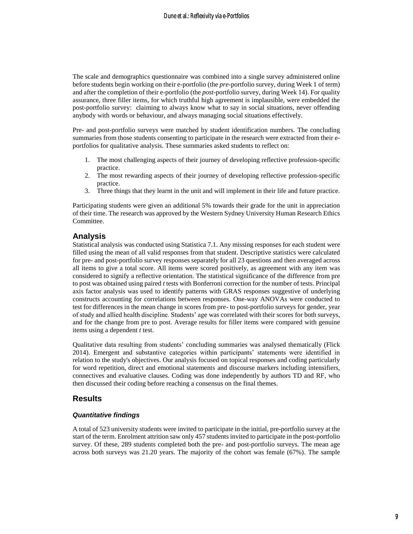The scale and demographics questionnaire was combined into a single survey administered online before students begin working on their e-portfolio (the *pre-*portfolio survey, during Week 1 of term) and after the completion of their e-portfolio (the *post*-portfolio survey, during Week 14). For quality assurance, three filler items, for which truthful high agreement is implausible, were embedded the post-portfolio survey: claiming to always know what to say in social situations, never offending anybody with words or behaviour, and always managing social situations effectively.

Pre- and post-portfolio surveys were matched by student identification numbers. The concluding summaries from those students consenting to participate in the research were extracted from their eportfolios for qualitative analysis. These summaries asked students to reflect on:

- 1. The most challenging aspects of their journey of developing reflective profession-specific practice.
- 2. The most rewarding aspects of their journey of developing reflective profession-specific practice.
- 3. Three things that they learnt in the unit and will implement in their life and future practice.

Participating students were given an additional 5% towards their grade for the unit in appreciation of their time. The research was approved by the Western Sydney University Human Research Ethics Committee.

## **Analysis**

Statistical analysis was conducted using Statistica 7.1. Any missing responses for each student were filled using the mean of all valid responses from that student. Descriptive statistics were calculated for pre- and post-portfolio survey responses separately for all 23 questions and then averaged across all items to give a total score. All items were scored positively, as agreement with any item was considered to signify a reflective orientation. The statistical significance of the difference from pre to post was obtained using paired *t* tests with Bonferroni correction for the number of tests. Principal axis factor analysis was used to identify patterns with GRAS responses suggestive of underlying constructs accounting for correlations between responses. One-way ANOVAs were conducted to test for differences in the mean change in scores from pre- to post-portfolio surveys for gender, year of study and allied health discipline. Students' age was correlated with their scores for both surveys, and for the change from pre to post. Average results for filler items were compared with genuine items using a dependent *t* test.

Qualitative data resulting from students' concluding summaries was analysed thematically (Flick 2014). Emergent and substantive categories within participants' statements were identified in relation to the study's objectives. Our analysis focused on topical responses and coding particularly for word repetition, direct and emotional statements and discourse markers including intensifiers, connectives and evaluative clauses. Coding was done independently by authors TD and RF, who then discussed their coding before reaching a consensus on the final themes.

## **Results**

### *Quantitative findings*

A total of 523 university students were invited to participate in the initial, pre-portfolio survey at the start of the term. Enrolment attrition saw only 457 students invited to participate in the post-portfolio survey. Of these, 289 students completed both the pre- and post-portfolio surveys. The mean age across both surveys was 21.20 years. The majority of the cohort was female (67%). The sample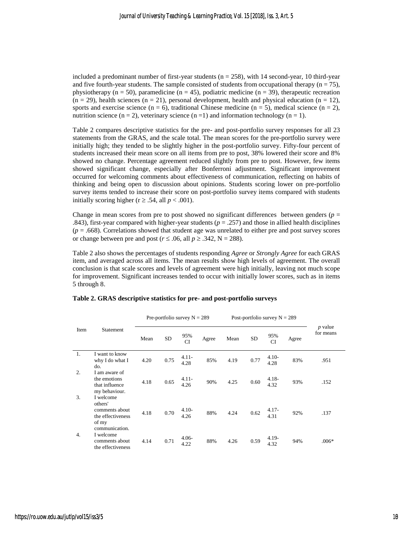included a predominant number of first-year students ( $n = 258$ ), with 14 second-year, 10 third-year and five fourth-year students. The sample consisted of students from occupational therapy  $(n = 75)$ , physiotherapy ( $n = 50$ ), paramedicine ( $n = 45$ ), podiatric medicine ( $n = 39$ ), therapeutic recreation  $(n = 29)$ , health sciences  $(n = 21)$ , personal development, health and physical education  $(n = 12)$ , sports and exercise science (n = 6), traditional Chinese medicine (n = 5), medical science (n = 2), nutrition science (n = 2), veterinary science (n = 1) and information technology (n = 1).

Table 2 compares descriptive statistics for the pre- and post-portfolio survey responses for all 23 statements from the GRAS, and the scale total. The mean scores for the pre-portfolio survey were initially high; they tended to be slightly higher in the post-portfolio survey. Fifty-four percent of students increased their mean score on all items from pre to post, 38% lowered their score and 8% showed no change. Percentage agreement reduced slightly from pre to post. However, few items showed significant change, especially after Bonferroni adjustment. Significant improvement occurred for welcoming comments about effectiveness of communication, reflecting on habits of thinking and being open to discussion about opinions. Students scoring lower on pre-portfolio survey items tended to increase their score on post-portfolio survey items compared with students initially scoring higher ( $r \ge 0.54$ , all  $p < 0.001$ ).

Change in mean scores from pre to post showed no significant differences between genders (*p* = .843), first-year compared with higher-year students ( $p = .257$ ) and those in allied health disciplines  $(p = .668)$ . Correlations showed that student age was unrelated to either pre and post survey scores or change between pre and post ( $r \leq .06$ , all  $p \geq .342$ , N = 288).

Table 2 also shows the percentages of students responding *Agree* or *Strongly Agree* for each GRAS item, and averaged across all items. The mean results show high levels of agreement. The overall conclusion is that scale scores and levels of agreement were high initially, leaving not much scope for improvement. Significant increases tended to occur with initially lower scores, such as in items 5 through 8.

|      |                                                                                        | Pre-portfolio survey $N = 289$ |           |                  |       | Post-portfolio survey $N = 289$ |      |                  |       |                        |
|------|----------------------------------------------------------------------------------------|--------------------------------|-----------|------------------|-------|---------------------------------|------|------------------|-------|------------------------|
| Item | Statement                                                                              | Mean                           | <b>SD</b> | 95%<br><b>CI</b> | Agree | Mean                            | SD   | 95%<br><b>CI</b> | Agree | $p$ value<br>for means |
| 1.   | I want to know<br>why I do what I<br>do.                                               | 4.20                           | 0.75      | $4.11 -$<br>4.28 | 85%   | 4.19                            | 0.77 | $4.10-$<br>4.28  | 83%   | .951                   |
| 2.   | I am aware of<br>the emotions<br>that influence<br>my behaviour.                       | 4.18                           | 0.65      | $4.11 -$<br>4.26 | 90%   | 4.25                            | 0.60 | $4.18 -$<br>4.32 | 93%   | .152                   |
| 3.   | I welcome<br>others'<br>comments about<br>the effectiveness<br>of my<br>communication. | 4.18                           | 0.70      | $4.10-$<br>4.26  | 88%   | 4.24                            | 0.62 | $4.17-$<br>4.31  | 92%   | .137                   |
| 4.   | I welcome<br>comments about<br>the effectiveness                                       | 4.14                           | 0.71      | $4.06 -$<br>4.22 | 88%   | 4.26                            | 0.59 | $4.19-$<br>4.32  | 94%   | $.006*$                |

#### **Table 2. GRAS descriptive statistics for pre- and post-portfolio surveys**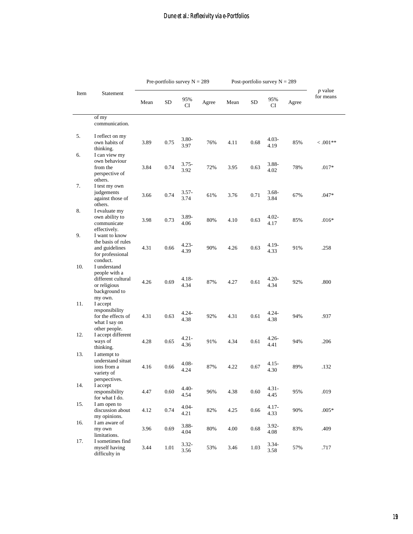|      |                                                                                                             | Pre-portfolio survey $N = 289$ |          | Post-portfolio survey $N = 289$ |       |      |          |                  |       |                             |
|------|-------------------------------------------------------------------------------------------------------------|--------------------------------|----------|---------------------------------|-------|------|----------|------------------|-------|-----------------------------|
| Item | Statement                                                                                                   | Mean                           | SD       | 95%<br>CI                       | Agree | Mean | SD       | 95%<br>СI        | Agree | <i>p</i> value<br>for means |
|      | of my<br>communication.                                                                                     |                                |          |                                 |       |      |          |                  |       |                             |
| 5.   | I reflect on my<br>own habits of<br>thinking.                                                               | 3.89                           | 0.75     | $3.80-$<br>3.97                 | 76%   | 4.11 | 0.68     | $4.03-$<br>4.19  | 85%   | $0.001**$                   |
| 6.   | I can view my<br>own behaviour<br>from the                                                                  | 3.84                           | 0.74     | $3.75 -$                        | 72%   | 3.95 | 0.63     | 3.88-            | 78%   | $.017*$                     |
| 7.   | perspective of<br>others.<br>I test my own                                                                  |                                |          | 3.92                            |       |      |          | 4.02             |       |                             |
|      | judgements<br>against those of<br>others.                                                                   | 3.66                           | 0.74     | $3.57 -$<br>3.74                | 61%   | 3.76 | 0.71     | $3.68 -$<br>3.84 | 67%   | $.047*$                     |
| 8.   | I evaluate my<br>own ability to<br>communicate<br>effectively.                                              | 3.98                           | 0.73     | $3.89 -$<br>4.06                | 80%   | 4.10 | 0.63     | 4.02-<br>4.17    | 85%   | $.016*$                     |
| 9.   | I want to know<br>the basis of rules<br>and guidelines<br>for professional                                  | 4.31                           | 0.66     | $4.23 -$<br>4.39                | 90%   | 4.26 | 0.63     | 4.19-<br>4.33    | 91%   | .258                        |
| 10.  | conduct.<br>I understand<br>people with a<br>different cultural<br>or religious<br>background to<br>my own. | 4.26                           | 0.69     | $4.18 -$<br>4.34                | 87%   | 4.27 | 0.61     | 4.20-<br>4.34    | 92%   | .800                        |
| 11.  | I accept<br>responsibility<br>for the effects of<br>what I say on                                           | 4.31                           | 0.63     | $4.24 -$<br>4.38                | 92%   | 4.31 | 0.61     | $4.24 -$<br>4.38 | 94%   | .937                        |
| 12.  | other people.<br>I accept different<br>ways of<br>thinking.                                                 | 4.28                           | 0.65     | $4.21 -$<br>4.36                | 91%   | 4.34 | 0.61     | $4.26 -$<br>4.41 | 94%   | .206                        |
| 13.  | I attempt to<br>understand situat<br>ions from a<br>variety of<br>perspectives.                             | 4.16                           | 0.66     | $4.08 -$<br>4.24                | 87%   | 4.22 | 0.67     | 4.15-<br>4.30    | 89%   | .132                        |
| 14.  | I accept<br>responsibility<br>for what I do.                                                                | 4.47                           | 0.60     | $4.40 -$<br>4.54                | 96%   | 4.38 | 0.60     | $4.31 -$<br>4.45 | 95%   | .019                        |
| 15.  | I am open to<br>discussion about<br>my opinions.                                                            | 4.12                           | 0.74     | $4.04 -$<br>4.21                | 82%   | 4.25 | $0.66\,$ | 4.17-<br>4.33    | 90%   | $.005*$                     |
| 16.  | I am aware of<br>my own<br>limitations.                                                                     | 3.96                           | 0.69     | 3.88-<br>4.04                   | 80%   | 4.00 | 0.68     | 3.92-<br>4.08    | 83%   | .409                        |
| 17.  | I sometimes find<br>myself having<br>difficulty in                                                          | 3.44                           | $1.01\,$ | $3.32 -$<br>3.56                | 53%   | 3.46 | 1.03     | $3.34-$<br>3.58  | 57%   | .717                        |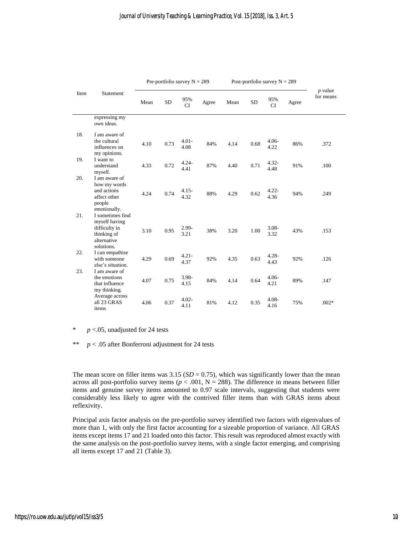|      |                                                                                                | Pre-portfolio survey $N = 289$ |           |                  |       | Post-portfolio survey $N = 289$ |           |                  |       |                        |
|------|------------------------------------------------------------------------------------------------|--------------------------------|-----------|------------------|-------|---------------------------------|-----------|------------------|-------|------------------------|
| Item | Statement                                                                                      | Mean                           | <b>SD</b> | 95%<br><b>CI</b> | Agree | Mean                            | <b>SD</b> | 95%<br>CI        | Agree | $p$ value<br>for means |
|      | expressing my<br>own ideas.                                                                    |                                |           |                  |       |                                 |           |                  |       |                        |
| 18.  | I am aware of<br>the cultural<br>influences on<br>my opinions.                                 | 4.10                           | 0.73      | $4.01 -$<br>4.08 | 84%   | 4.14                            | 0.68      | $4.06 -$<br>4.22 | 86%   | .372                   |
| 19.  | I want to<br>understand<br>myself.                                                             | 4.33                           | 0.72      | $4.24 -$<br>4.41 | 87%   | 4.40                            | 0.71      | $4.32 -$<br>4.48 | 91%   | .100                   |
| 20.  | I am aware of<br>how my words<br>and actions<br>affect other<br>people<br>emotionally.         | 4.24                           | 0.74      | $4.15 -$<br>4.32 | 88%   | 4.29                            | 0.62      | $4.22 -$<br>4.36 | 94%   | .249                   |
| 21.  | I sometimes find<br>myself having<br>difficulty in<br>thinking of<br>alternative<br>solutions. | 3.10                           | 0.95      | 2.99-<br>3.21    | 38%   | 3.20                            | 1.00      | $3.08 -$<br>3.32 | 43%   | .153                   |
| 22.  | I can empathise<br>with someone<br>else's situation.                                           | 4.29                           | 0.69      | $4.21 -$<br>4.37 | 92%   | 4.35                            | 0.63      | $4.28 -$<br>4.43 | 92%   | .126                   |
| 23.  | I am aware of<br>the emotions<br>that influence<br>my thinking.                                | 4.07                           | 0.75      | 3.98-<br>4.15    | 84%   | 4.14                            | 0.64      | $4.06 -$<br>4.21 | 89%   | .147                   |
|      | Average across<br>all 23 GRAS<br>items                                                         | 4.06                           | 0.37      | $4.02 -$<br>4.11 | 81%   | 4.12                            | 0.35      | $4.08 -$<br>4.16 | 75%   | $.002*$                |

\* *p* <.05, unadjusted for 24 tests

\*\* *p* < .05 after Bonferroni adjustment for 24 tests

The mean score on filler items was  $3.15$  ( $SD = 0.75$ ), which was significantly lower than the mean across all post-portfolio survey items ( $p < .001$ ,  $N = 288$ ). The difference in means between filler items and genuine survey items amounted to 0.97 scale intervals, suggesting that students were considerably less likely to agree with the contrived filler items than with GRAS items about reflexivity.

Principal axis factor analysis on the pre-portfolio survey identified two factors with eigenvalues of more than 1, with only the first factor accounting for a sizeable proportion of variance. All GRAS items except items 17 and 21 loaded onto this factor. This result was reproduced almost exactly with the same analysis on the post-portfolio survey items, with a single factor emerging, and comprising all items except 17 and 21 (Table 3).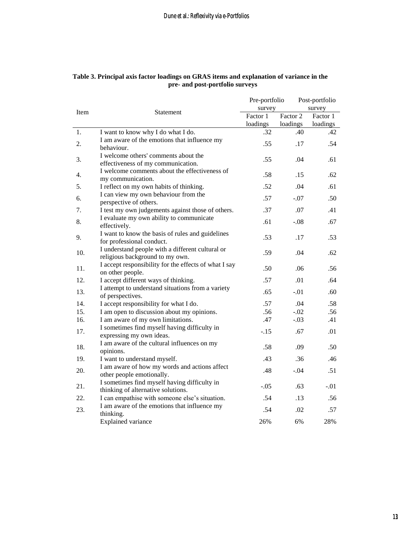|      |                                                                                     | Pre-portfolio<br>survey |          | Post-portfolio<br>survey |  |
|------|-------------------------------------------------------------------------------------|-------------------------|----------|--------------------------|--|
| Item | Statement                                                                           | Factor 1                | Factor 2 | Factor 1                 |  |
|      |                                                                                     | loadings                | loadings | loadings                 |  |
| 1.   | I want to know why I do what I do.                                                  | .32                     | .40      | .42                      |  |
| 2.   | I am aware of the emotions that influence my<br>behaviour.                          | .55                     | .17      | .54                      |  |
| 3.   | I welcome others' comments about the<br>effectiveness of my communication.          | .55                     | .04      | .61                      |  |
| 4.   | I welcome comments about the effectiveness of<br>my communication.                  | .58                     | .15      | .62                      |  |
| 5.   | I reflect on my own habits of thinking.                                             | .52                     | .04      | .61                      |  |
| 6.   | I can view my own behaviour from the<br>perspective of others.                      | .57                     | $-.07$   | .50                      |  |
| 7.   | I test my own judgements against those of others.                                   | .37                     | .07      | .41                      |  |
| 8.   | I evaluate my own ability to communicate<br>effectively.                            | .61                     | $-.08$   | .67                      |  |
| 9.   | I want to know the basis of rules and guidelines<br>for professional conduct.       | .53                     | .17      | .53                      |  |
| 10.  | I understand people with a different cultural or<br>religious background to my own. | .59                     | .04      | .62                      |  |
| 11.  | I accept responsibility for the effects of what I say<br>on other people.           | .50                     | .06      | .56                      |  |
| 12.  | I accept different ways of thinking.                                                | .57                     | .01      | .64                      |  |
| 13.  | I attempt to understand situations from a variety<br>of perspectives.               | .65                     | $-.01$   | .60                      |  |
| 14.  | I accept responsibility for what I do.                                              | .57                     | .04      | .58                      |  |
| 15.  | I am open to discussion about my opinions.                                          | .56                     | $-.02$   | .56                      |  |
| 16.  | I am aware of my own limitations.                                                   | .47                     | $-.03$   | .41                      |  |
| 17.  | I sometimes find myself having difficulty in<br>expressing my own ideas.            | $-.15$                  | .67      | .01                      |  |
| 18.  | I am aware of the cultural influences on my<br>opinions.                            | .58                     | .09      | .50                      |  |
| 19.  | I want to understand myself.                                                        | .43                     | .36      | .46                      |  |
| 20.  | I am aware of how my words and actions affect<br>other people emotionally.          | .48                     | $-.04$   | .51                      |  |
| 21.  | I sometimes find myself having difficulty in<br>thinking of alternative solutions.  | $-.05$                  | .63      | $-.01$                   |  |
| 22.  | I can empathise with someone else's situation.                                      | .54                     | .13      | .56                      |  |
| 23.  | I am aware of the emotions that influence my<br>thinking.                           | .54                     | .02      | .57                      |  |
|      | <b>Explained</b> variance                                                           | 26%                     | 6%       | 28%                      |  |

## **Table 3. Principal axis factor loadings on GRAS items and explanation of variance in the pre- and post-portfolio surveys**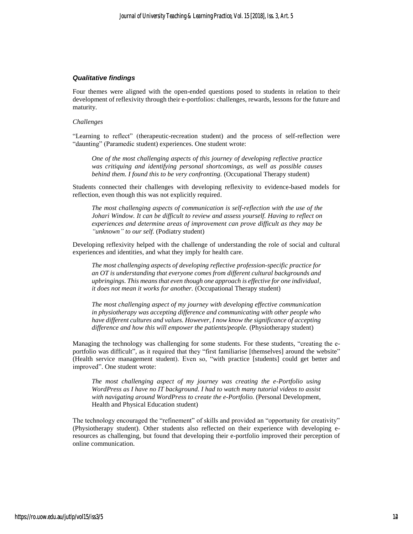#### *Qualitative findings*

Four themes were aligned with the open-ended questions posed to students in relation to their development of reflexivity through their e-portfolios: challenges, rewards, lessons for the future and maturity.

#### *Challenges*

"Learning to reflect" (therapeutic-recreation student) and the process of self-reflection were "daunting" (Paramedic student) experiences. One student wrote:

*One of the most challenging aspects of this journey of developing reflective practice was critiquing and identifying personal shortcomings, as well as possible causes behind them. I found this to be very confronting.* (Occupational Therapy student)

Students connected their challenges with developing reflexivity to evidence-based models for reflection, even though this was not explicitly required.

*The most challenging aspects of communication is self-reflection with the use of the Johari Window. It can be difficult to review and assess yourself. Having to reflect on experiences and determine areas of improvement can prove difficult as they may be "unknown" to our self.* (Podiatry student)

Developing reflexivity helped with the challenge of understanding the role of social and cultural experiences and identities, and what they imply for health care.

*The most challenging aspects of developing reflective profession-specific practice for an OT is understanding that everyone comes from different cultural backgrounds and upbringings. This means that even though one approach is effective for one individual, it does not mean it works for another.* (Occupational Therapy student)

*The most challenging aspect of my journey with developing effective communication in physiotherapy was accepting difference and communicating with other people who have different cultures and values. However, I now know the significance of accepting difference and how this will empower the patients/people.* (Physiotherapy student)

Managing the technology was challenging for some students. For these students, "creating the eportfolio was difficult", as it required that they "first familiarise [themselves] around the website" (Health service management student). Even so, "with practice [students] could get better and improved". One student wrote:

*The most challenging aspect of my journey was creating the e-Portfolio using WordPress as I have no IT background. I had to watch many tutorial videos to assist with navigating around WordPress to create the e-Portfolio.* (Personal Development, Health and Physical Education student)

The technology encouraged the "refinement" of skills and provided an "opportunity for creativity" (Physiotherapy student). Other students also reflected on their experience with developing eresources as challenging, but found that developing their e-portfolio improved their perception of online communication.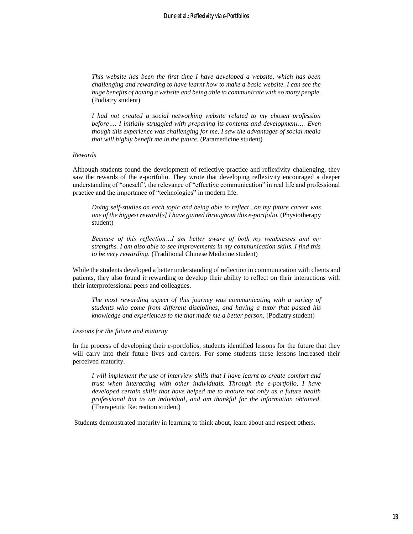*This website has been the first time I have developed a website, which has been challenging and rewarding to have learnt how to make a basic website. I can see the huge benefits of having a website and being able to communicate with so many people.* (Podiatry student)

*I had not created a social networking website related to my chosen profession before…. I initially struggled with preparing its contents and development…. Even though this experience was challenging for me, I saw the advantages of social media that will highly benefit me in the future.* (Paramedicine student)

#### *Rewards*

Although students found the development of reflective practice and reflexivity challenging, they saw the rewards of the e-portfolio. They wrote that developing reflexivity encouraged a deeper understanding of "oneself", the relevance of "effective communication" in real life and professional practice and the importance of "technologies" in modern life.

*Doing self-studies on each topic and being able to reflect...on my future career was one of the biggest reward[s] I have gained throughout this e-portfolio.* (Physiotherapy student)

*Because of this reflection…I am better aware of both my weaknesses and my strengths. I am also able to see improvements in my communication skills. I find this to be very rewarding.* (Traditional Chinese Medicine student)

While the students developed a better understanding of reflection in communication with clients and patients, they also found it rewarding to develop their ability to reflect on their interactions with their interprofessional peers and colleagues.

*The most rewarding aspect of this journey was communicating with a variety of students who come from different disciplines, and having a tutor that passed his knowledge and experiences to me that made me a better person.* (Podiatry student)

#### *Lessons for the future and maturity*

In the process of developing their e-portfolios, students identified lessons for the future that they will carry into their future lives and careers. For some students these lessons increased their perceived maturity.

*I will implement the use of interview skills that I have learnt to create comfort and trust when interacting with other individuals. Through the e-portfolio, I have developed certain skills that have helped me to mature not only as a future health professional but as an individual, and am thankful for the information obtained.*  (Therapeutic Recreation student)

Students demonstrated maturity in learning to think about, learn about and respect others.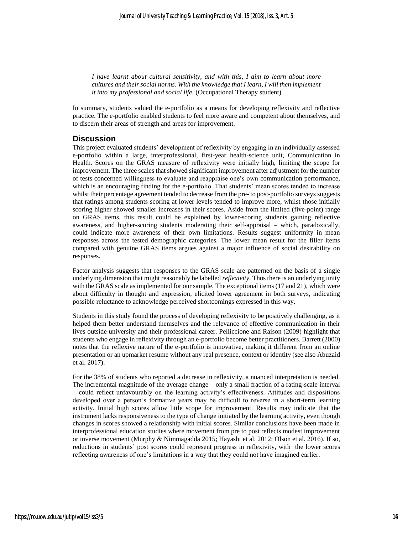*I have learnt about cultural sensitivity, and with this, I aim to learn about more cultures and their social norms. With the knowledge that I learn, I will then implement it into my professional and social life.* (Occupational Therapy student)

In summary, students valued the e-portfolio as a means for developing reflexivity and reflective practice. The e-portfolio enabled students to feel more aware and competent about themselves, and to discern their areas of strength and areas for improvement.

## **Discussion**

This project evaluated students' development of reflexivity by engaging in an individually assessed e-portfolio within a large, interprofessional, first-year health-science unit, Communication in Health. Scores on the GRAS measure of reflexivity were initially high, limiting the scope for improvement. The three scales that showed significant improvement after adjustment for the number of tests concerned willingness to evaluate and reappraise one's own communication performance, which is an encouraging finding for the e-portfolio. That students' mean scores tended to increase whilst their percentage agreement tended to decrease from the pre- to post-portfolio surveys suggests that ratings among students scoring at lower levels tended to improve more, whilst those initially scoring higher showed smaller increases in their scores. Aside from the limited (five-point) range on GRAS items, this result could be explained by lower-scoring students gaining reflective awareness, and higher-scoring students moderating their self-appraisal – which, paradoxically, could indicate more awareness of their own limitations. Results suggest uniformity in mean responses across the tested demographic categories. The lower mean result for the filler items compared with genuine GRAS items argues against a major influence of social desirability on responses.

Factor analysis suggests that responses to the GRAS scale are patterned on the basis of a single underlying dimension that might reasonably be labelled *reflexivity*. Thus there is an underlying unity with the GRAS scale as implemented for our sample. The exceptional items (17 and 21), which were about difficulty in thought and expression, elicited lower agreement in both surveys, indicating possible reluctance to acknowledge perceived shortcomings expressed in this way.

Students in this study found the process of developing reflexivity to be positively challenging, as it helped them better understand themselves and the relevance of effective communication in their lives outside university and their professional career. Pelliccione and Raison (2009) highlight that students who engage in reflexivity through an e-portfolio become better practitioners. Barrett (2000) notes that the reflexive nature of the e-portfolio is innovative, making it different from an online presentation or an upmarket resume without any real presence, context or identity (see also Abuzaid et al. 2017).

For the 38% of students who reported a decrease in reflexivity, a nuanced interpretation is needed. The incremental magnitude of the average change – only a small fraction of a rating-scale interval – could reflect unfavourably on the learning activity's effectiveness. Attitudes and dispositions developed over a person's formative years may be difficult to reverse in a short-term learning activity. Initial high scores allow little scope for improvement. Results may indicate that the instrument lacks responsiveness to the type of change initiated by the learning activity, even though changes in scores showed a relationship with initial scores. Similar conclusions have been made in interprofessional education studies where movement from pre to post reflects modest improvement or inverse movement (Murphy & Nimmagadda 2015; Hayashi et al. 2012; Olson et al. 2016). If so, reductions in students' post scores could represent progress in reflexivity, with the lower scores reflecting awareness of one's limitations in a way that they could not have imagined earlier.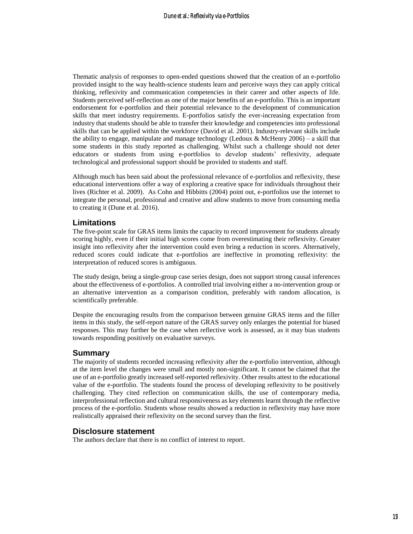Thematic analysis of responses to open-ended questions showed that the creation of an e-portfolio provided insight to the way health-science students learn and perceive ways they can apply critical thinking, reflexivity and communication competencies in their career and other aspects of life. Students perceived self-reflection as one of the major benefits of an e-portfolio. This is an important endorsement for e-portfolios and their potential relevance to the development of communication skills that meet industry requirements. E-portfolios satisfy the ever-increasing expectation from industry that students should be able to transfer their knowledge and competencies into professional skills that can be applied within the workforce (David et al. 2001). Industry-relevant skills include the ability to engage, manipulate and manage technology (Ledoux & McHenry 2006) – a skill that some students in this study reported as challenging. Whilst such a challenge should not deter educators or students from using e-portfolios to develop students' reflexivity, adequate technological and professional support should be provided to students and staff.

Although much has been said about the professional relevance of e-portfolios and reflexivity, these educational interventions offer a way of exploring a creative space for individuals throughout their lives (Richter et al. 2009). As Cohn and Hibbitts (2004) point out, e-portfolios use the internet to integrate the personal, professional and creative and allow students to move from consuming media to creating it (Dune et al. 2016).

### **Limitations**

The five-point scale for GRAS items limits the capacity to record improvement for students already scoring highly, even if their initial high scores come from overestimating their reflexivity. Greater insight into reflexivity after the intervention could even bring a reduction in scores. Alternatively, reduced scores could indicate that e-portfolios are ineffective in promoting reflexivity: the interpretation of reduced scores is ambiguous.

The study design, being a single-group case series design, does not support strong causal inferences about the effectiveness of e-portfolios. A controlled trial involving either a no-intervention group or an alternative intervention as a comparison condition, preferably with random allocation, is scientifically preferable.

Despite the encouraging results from the comparison between genuine GRAS items and the filler items in this study, the self-report nature of the GRAS survey only enlarges the potential for biased responses. This may further be the case when reflective work is assessed, as it may bias students towards responding positively on evaluative surveys.

## **Summary**

The majority of students recorded increasing reflexivity after the e-portfolio intervention, although at the item level the changes were small and mostly non-significant. It cannot be claimed that the use of an e-portfolio greatly increased self-reported reflexivity. Other results attest to the educational value of the e-portfolio. The students found the process of developing reflexivity to be positively challenging. They cited reflection on communication skills, the use of contemporary media, interprofessional reflection and cultural responsiveness as key elements learnt through the reflective process of the e-portfolio. Students whose results showed a reduction in reflexivity may have more realistically appraised their reflexivity on the second survey than the first.

### **Disclosure statement**

The authors declare that there is no conflict of interest to report.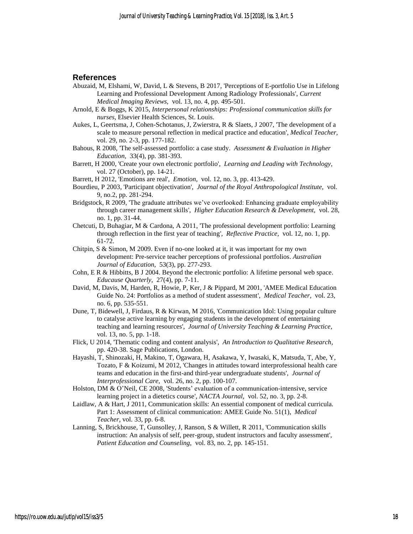## **References**

- Abuzaid, M, Elshami, W, David, L & Stevens, B 2017, 'Perceptions of E-portfolio Use in Lifelong Learning and Professional Development Among Radiology Professionals', *Current Medical Imaging Reviews,* vol. 13, no. 4, pp. 495-501.
- Arnold, E & Boggs, K 2015, *Interpersonal relationships: Professional communication skills for nurses*, Elsevier Health Sciences, St. Louis.
- Aukes, L, Geertsma, J, Cohen-Schotanus, J, Zwierstra, R & Slaets, J 2007, 'The development of a scale to measure personal reflection in medical practice and education', *Medical Teacher,* vol. 29, no. 2-3, pp. 177-182.
- Bahous, R 2008, 'The self‐assessed portfolio: a case study. *Assessment & Evaluation in Higher Education,* 33(4), pp. 381-393.
- Barrett, H 2000, 'Create your own electronic portfolio', *Learning and Leading with Technology,* vol. 27 (October), pp. 14-21.
- Barrett, H 2012, 'Emotions are real', *Emotion,* vol. 12, no. 3, pp. 413-429.
- Bourdieu, P 2003, 'Participant objectivation', *Journal of the Royal Anthropological Institute,* vol. 9, no.2, pp. 281-294.
- Bridgstock, R 2009, 'The graduate attributes we've overlooked: Enhancing graduate employability through career management skills', *Higher Education Research & Development,* vol. 28, no. 1, pp. 31-44.
- Chetcuti, D, Buhagiar, M & Cardona, A 2011, 'The professional development portfolio: Learning through reflection in the first year of teaching', *Reflective Practice,* vol. 12, no. 1, pp. 61-72.
- Chitpin, S & Simon, M 2009. Even if no-one looked at it, it was important for my own development: Pre-service teacher perceptions of professional portfolios. *Australian Journal of Education,* 53(3), pp. 277-293.
- Cohn, E R & Hibbitts, B J 2004. Beyond the electronic portfolio: A lifetime personal web space. *Educause Quarterly,* 27(4), pp. 7-11.
- David, M, Davis, M, Harden, R, Howie, P, Ker, J & Pippard, M 2001, 'AMEE Medical Education Guide No. 24: Portfolios as a method of student assessment', *Medical Teacher,* vol. 23, no. 6, pp. 535-551.
- Dune, T, Bidewell, J, Firdaus, R & Kirwan, M 2016, 'Communication Idol: Using popular culture to catalyse active learning by engaging students in the development of entertaining teaching and learning resources', *Journal of University Teaching & Learning Practice,* vol. 13, no. 5, pp. 1-18.
- Flick, U 2014, 'Thematic coding and content analysis', *An Introduction to Qualitative Research*, pp. 420-38. Sage Publications, London.
- Hayashi, T, Shinozaki, H, Makino, T, Ogawara, H, Asakawa, Y, Iwasaki, K, Matsuda, T, Abe, Y, Tozato, F & Koizumi, M 2012, 'Changes in attitudes toward interprofessional health care teams and education in the first-and third-year undergraduate students', *Journal of Interprofessional Care,* vol. 26, no. 2, pp. 100-107.
- Holston, DM & O'Neil, CE 2008, 'Students' evaluation of a communication-intensive, service learning project in a dietetics course', *NACTA Journal,* vol. 52, no. 3, pp. 2-8.
- Laidlaw, A & Hart, J 2011, Communication skills: An essential component of medical curricula. Part 1: Assessment of clinical communication: AMEE Guide No. 51(1), *Medical Teacher,* vol. 33, pp. 6-8.
- Lanning, S, Brickhouse, T, Gunsolley, J, Ranson, S & Willett, R 2011, 'Communication skills instruction: An analysis of self, peer-group, student instructors and faculty assessment', *Patient Education and Counseling,* vol. 83, no. 2, pp. 145-151.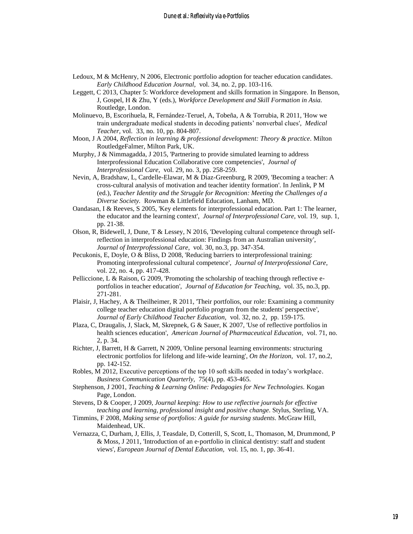- Ledoux, M & McHenry, N 2006, Electronic portfolio adoption for teacher education candidates. *Early Childhood Education Journal,* vol. 34, no. 2, pp. 103-116.
- Leggett, C 2013, Chapter 5: Workforce development and skills formation in Singapore. In Benson, J, Gospel, H & Zhu, Y (eds.), *Workforce Development and Skill Formation in Asia.* Routledge, London.
- Molinuevo, B, Escorihuela, R, Fernández-Teruel, A, Tobeña, A & Torrubia, R 2011, 'How we train undergraduate medical students in decoding patients' nonverbal clues', *Medical Teacher,* vol. 33, no. 10, pp. 804-807.
- Moon, J A 2004, *Reflection in learning & professional development: Theory & practice.* Milton RoutledgeFalmer, Milton Park, UK.
- Murphy, J & Nimmagadda, J 2015, 'Partnering to provide simulated learning to address Interprofessional Education Collaborative core competencies', *Journal of Interprofessional Care,* vol. 29, no. 3, pp. 258-259.
- Nevin, A, Bradshaw, L, Cardelle-Elawar, M & Diaz-Greenburg, R 2009, 'Becoming a teacher: A cross-cultural analysis of motivation and teacher identity formation'. In Jenlink, P M (ed.), *Teacher Identity and the Struggle for Recognition: Meeting the Challenges of a Diverse Society.* Rowman & Littlefield Education, Lanham, MD.
- Oandasan, I & Reeves, S 2005, 'Key elements for interprofessional education. Part 1: The learner, the educator and the learning context', *Journal of Interprofessional Care,* vol. 19, sup. 1, pp. 21-38.
- Olson, R, Bidewell, J, Dune, T & Lessey, N 2016, 'Developing cultural competence through selfreflection in interprofessional education: Findings from an Australian university', *Journal of Interprofessional Care,* vol. 30, no.3, pp. 347-354.
- Pecukonis, E, Doyle, O & Bliss, D 2008, 'Reducing barriers to interprofessional training: Promoting interprofessional cultural competence', *Journal of Interprofessional Care,* vol. 22, no. 4, pp. 417-428.
- Pelliccione, L & Raison, G 2009, 'Promoting the scholarship of teaching through reflective eportfolios in teacher education', *Journal of Education for Teaching,* vol. 35, no.3, pp. 271-281.
- Plaisir, J, Hachey, A & Theilheimer, R 2011, 'Their portfolios, our role: Examining a community college teacher education digital portfolio program from the students' perspective', *Journal of Early Childhood Teacher Education,* vol. 32, no. 2, pp. 159-175.
- Plaza, C, Draugalis, J, Slack, M, Skrepnek, G & Sauer, K 2007, 'Use of reflective portfolios in health sciences education', *American Journal of Pharmaceutical Education,* vol. 71, no. 2, p. 34.
- Richter, J, Barrett, H & Garrett, N 2009, 'Online personal learning environments: structuring electronic portfolios for lifelong and life-wide learning', *On the Horizon,* vol. 17, no.2, pp. 142-152.
- Robles, M 2012, Executive perceptions of the top 10 soft skills needed in today's workplace. *Business Communication Quarterly,* 75(4), pp. 453-465.
- Stephenson, J 2001, *Teaching & Learning Online: Pedagogies for New Technologies.* Kogan Page, London.
- Stevens, D & Cooper, J 2009, *Journal keeping: How to use reflective journals for effective teaching and learning, professional insight and positive change.* Stylus, Sterling, VA.
- Timmins, F 2008, *Making sense of portfolios: A guide for nursing students.* McGraw Hill, Maidenhead, UK.
- Vernazza, C, Durham, J, Ellis, J, Teasdale, D, Cotterill, S, Scott, L, Thomason, M, Drummond, P & Moss, J 2011, 'Introduction of an e‐portfolio in clinical dentistry: staff and student views', *European Journal of Dental Education,* vol. 15, no. 1, pp. 36-41.